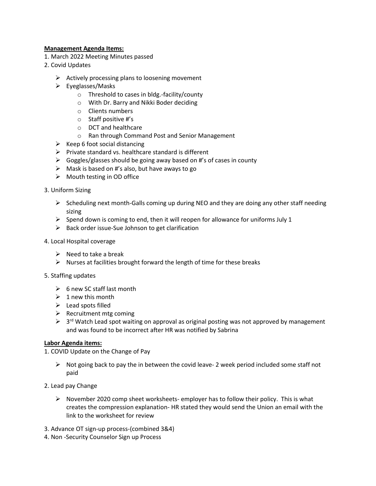## **Management Agenda Items:**

- 1. March 2022 Meeting Minutes passed
- 2. Covid Updates
	- $\triangleright$  Actively processing plans to loosening movement
	- ➢ Eyeglasses/Masks
		- o Threshold to cases in bldg.-facility/county
		- o With Dr. Barry and Nikki Boder deciding
		- o Clients numbers
		- o Staff positive #'s
		- o DCT and healthcare
		- o Ran through Command Post and Senior Management
	- $\triangleright$  Keep 6 foot social distancing
	- ➢ Private standard vs. healthcare standard is different
	- $\triangleright$  Goggles/glasses should be going away based on #'s of cases in county
	- $\triangleright$  Mask is based on #'s also, but have aways to go
	- ➢ Mouth testing in OD office
- 3. Uniform Sizing
	- $\triangleright$  Scheduling next month-Galls coming up during NEO and they are doing any other staff needing sizing
	- $\triangleright$  Spend down is coming to end, then it will reopen for allowance for uniforms July 1
	- $\triangleright$  Back order issue-Sue Johnson to get clarification
- 4. Local Hospital coverage
	- $\triangleright$  Need to take a break
	- $\triangleright$  Nurses at facilities brought forward the length of time for these breaks
- 5. Staffing updates
	- $\geqslant$  6 new SC staff last month
	- $\geq 1$  new this month
	- $\triangleright$  Lead spots filled
	- $\triangleright$  Recruitment mtg coming
	- $\triangleright$  3<sup>rd</sup> Watch Lead spot waiting on approval as original posting was not approved by management and was found to be incorrect after HR was notified by Sabrina

## **Labor Agenda items:**

- 1. COVID Update on the Change of Pay
	- $\triangleright$  Not going back to pay the in between the covid leave- 2 week period included some staff not paid
- 2. Lead pay Change
	- $\triangleright$  November 2020 comp sheet worksheets- employer has to follow their policy. This is what creates the compression explanation- HR stated they would send the Union an email with the link to the worksheet for review
- 3. Advance OT sign-up process-(combined 3&4)
- 4. Non -Security Counselor Sign up Process